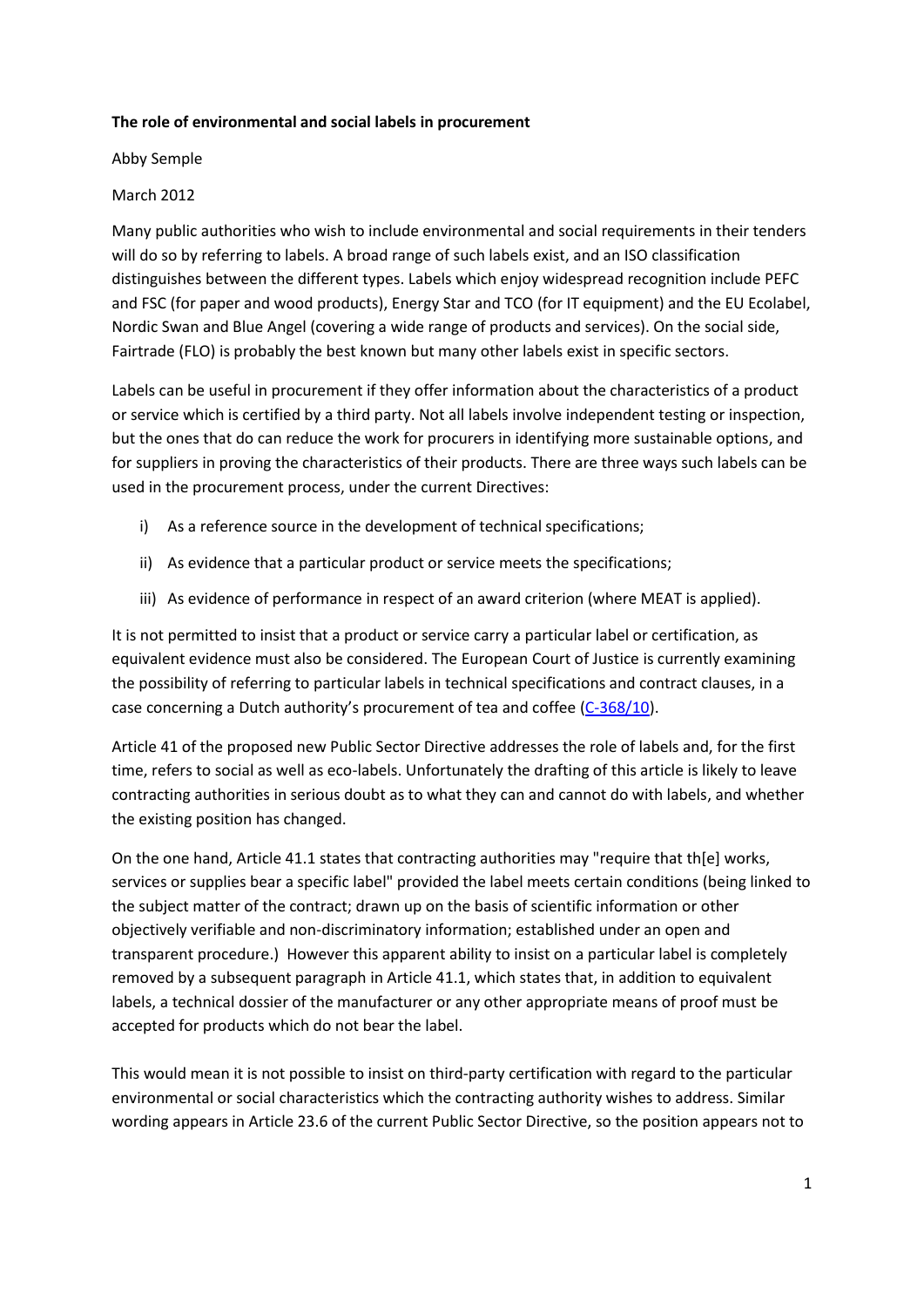## **The role of environmental and social labels in procurement**

Abby Semple

## March 2012

Many public authorities who wish to include environmental and social requirements in their tenders will do so by referring to labels. A broad range of such labels exist, and an ISO classification distinguishes between the different types. Labels which enjoy widespread recognition include PEFC and FSC (for paper and wood products), Energy Star and TCO (for IT equipment) and the EU Ecolabel, Nordic Swan and Blue Angel (covering a wide range of products and services). On the social side, Fairtrade (FLO) is probably the best known but many other labels exist in specific sectors.

Labels can be useful in procurement if they offer information about the characteristics of a product or service which is certified by a third party. Not all labels involve independent testing or inspection, but the ones that do can reduce the work for procurers in identifying more sustainable options, and for suppliers in proving the characteristics of their products. There are three ways such labels can be used in the procurement process, under the current Directives:

- i) As a reference source in the development of technical specifications;
- ii) As evidence that a particular product or service meets the specifications;
- iii) As evidence of performance in respect of an award criterion (where MEAT is applied).

It is not permitted to insist that a product or service carry a particular label or certification, as equivalent evidence must also be considered. The European Court of Justice is currently examining the possibility of referring to particular labels in technical specifications and contract clauses, in a case concerning a Dutch authority's procurement of tea and coffee [\(C-368/10\)](http://curia.europa.eu/juris/document/document.jsf?text=&docid=116726&pageIndex=0&doclang=FR&mode=lst&dir=&occ=first&part=1&cid=57270).

Article 41 of the proposed new Public Sector Directive addresses the role of labels and, for the first time, refers to social as well as eco-labels. Unfortunately the drafting of this article is likely to leave contracting authorities in serious doubt as to what they can and cannot do with labels, and whether the existing position has changed.

On the one hand, Article 41.1 states that contracting authorities may "require that th[e] works, services or supplies bear a specific label" provided the label meets certain conditions (being linked to the subject matter of the contract; drawn up on the basis of scientific information or other objectively verifiable and non-discriminatory information; established under an open and transparent procedure.) However this apparent ability to insist on a particular label is completely removed by a subsequent paragraph in Article 41.1, which states that, in addition to equivalent labels, a technical dossier of the manufacturer or any other appropriate means of proof must be accepted for products which do not bear the label.

This would mean it is not possible to insist on third-party certification with regard to the particular environmental or social characteristics which the contracting authority wishes to address. Similar wording appears in Article 23.6 of the current Public Sector Directive, so the position appears not to